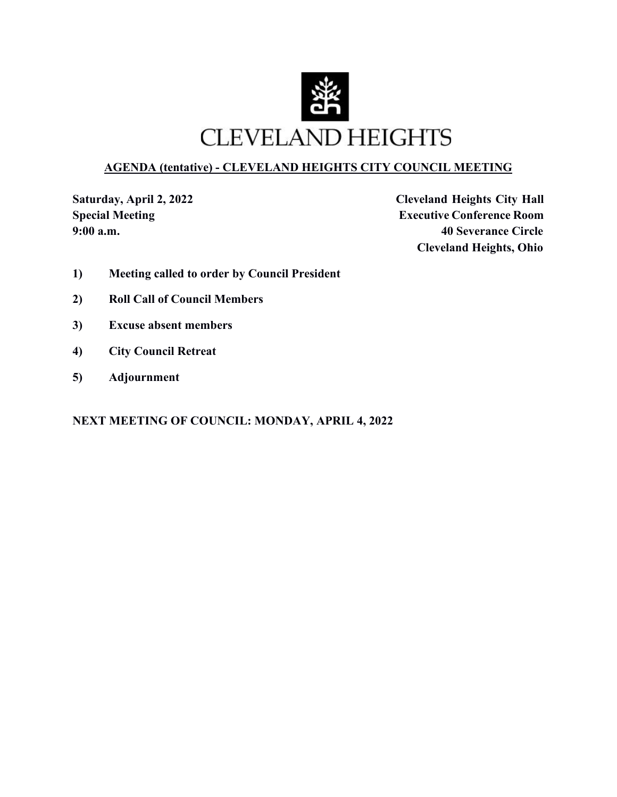

## **AGENDA (tentative) - CLEVELAND HEIGHTS CITY COUNCIL MEETING**

Saturday, April 2, 2022 Cleveland Heights City Hall **Special Meeting Executive Conference Room 9:00 a.m. 40 Severance Circle Cleveland Heights, Ohio**

- **1) Meeting called to order by Council President**
- **2) Roll Call of Council Members**
- **3) Excuse absent members**
- **4) City Council Retreat**
- **5) Adjournment**

**NEXT MEETING OF COUNCIL: MONDAY, APRIL 4, 2022**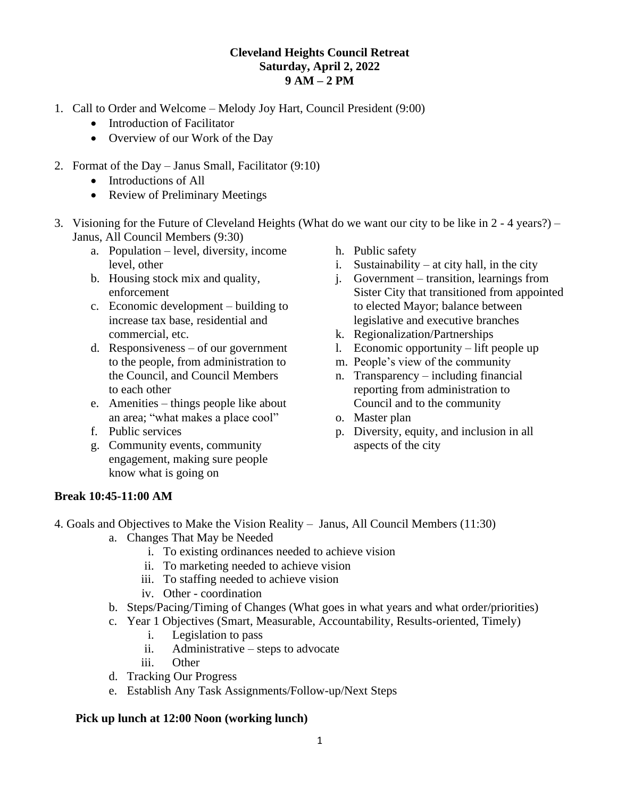## **Cleveland Heights Council Retreat Saturday, April 2, 2022 9 AM – 2 PM**

- 1. Call to Order and Welcome Melody Joy Hart, Council President (9:00)
	- Introduction of Facilitator
	- Overview of our Work of the Day
- 2. Format of the Day Janus Small, Facilitator (9:10)
	- Introductions of All
	- Review of Preliminary Meetings
- 3. Visioning for the Future of Cleveland Heights (What do we want our city to be like in 2 4 years?) Janus, All Council Members (9:30)
	- a. Population level, diversity, income level, other
	- b. Housing stock mix and quality, enforcement
	- c. Economic development building to increase tax base, residential and commercial, etc.
	- d. Responsiveness of our government to the people, from administration to the Council, and Council Members to each other
	- e. Amenities things people like about an area; "what makes a place cool"
	- f. Public services
	- g. Community events, community engagement, making sure people know what is going on
- h. Public safety
- i. Sustainability at city hall, in the city
- j. Government transition, learnings from Sister City that transitioned from appointed to elected Mayor; balance between legislative and executive branches
- k. Regionalization/Partnerships
- l. Economic opportunity lift people up
- m. People's view of the community
- n. Transparency including financial reporting from administration to Council and to the community
- o. Master plan
- p. Diversity, equity, and inclusion in all aspects of the city

## **Break 10:45-11:00 AM**

- 4. Goals and Objectives to Make the Vision Reality Janus, All Council Members (11:30)
	- a. Changes That May be Needed
		- i. To existing ordinances needed to achieve vision
		- ii. To marketing needed to achieve vision
		- iii. To staffing needed to achieve vision
		- iv. Other coordination
	- b. Steps/Pacing/Timing of Changes (What goes in what years and what order/priorities)
	- c. Year 1 Objectives (Smart, Measurable, Accountability, Results-oriented, Timely)
		- i. Legislation to pass
		- ii. Administrative steps to advocate
		- iii. Other
	- d. Tracking Our Progress
	- e. Establish Any Task Assignments/Follow-up/Next Steps

## **Pick up lunch at 12:00 Noon (working lunch)**